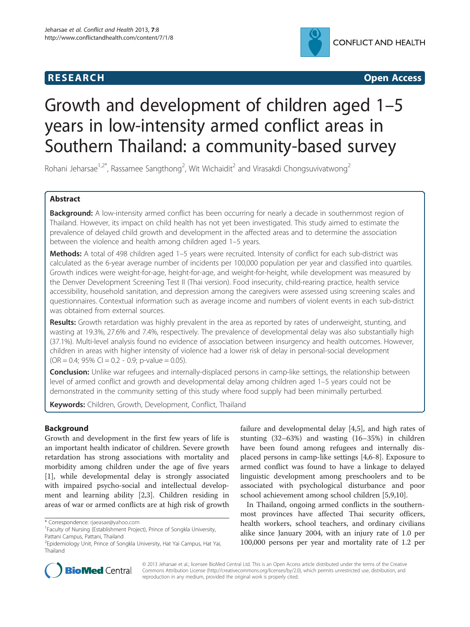

**RESEARCH CHINESE ARCH CHINESE ARCH CHINESE ARCH** 

# Growth and development of children aged 1–5 years in low-intensity armed conflict areas in Southern Thailand: a community-based survey

Rohani Jeharsae<sup>1,2\*</sup>, Rassamee Sangthong<sup>2</sup>, Wit Wichaidit<sup>2</sup> and Virasakdi Chongsuvivatwong<sup>2</sup>

# Abstract

Background: A low-intensity armed conflict has been occurring for nearly a decade in southernmost region of Thailand. However, its impact on child health has not yet been investigated. This study aimed to estimate the prevalence of delayed child growth and development in the affected areas and to determine the association between the violence and health among children aged 1–5 years.

Methods: A total of 498 children aged 1–5 years were recruited. Intensity of conflict for each sub-district was calculated as the 6-year average number of incidents per 100,000 population per year and classified into quartiles. Growth indices were weight-for-age, height-for-age, and weight-for-height, while development was measured by the Denver Development Screening Test II (Thai version). Food insecurity, child-rearing practice, health service accessibility, household sanitation, and depression among the caregivers were assessed using screening scales and questionnaires. Contextual information such as average income and numbers of violent events in each sub-district was obtained from external sources.

Results: Growth retardation was highly prevalent in the area as reported by rates of underweight, stunting, and wasting at 19.3%, 27.6% and 7.4%, respectively. The prevalence of developmental delay was also substantially high (37.1%). Multi-level analysis found no evidence of association between insurgency and health outcomes. However, children in areas with higher intensity of violence had a lower risk of delay in personal-social development  $(OR = 0.4; 95\% CI = 0.2 - 0.9; p-value = 0.05).$ 

**Conclusion:** Unlike war refugees and internally-displaced persons in camp-like settings, the relationship between level of armed conflict and growth and developmental delay among children aged 1–5 years could not be demonstrated in the community setting of this study where food supply had been minimally perturbed.

Keywords: Children, Growth, Development, Conflict, Thailand

# **Background**

Growth and development in the first few years of life is an important health indicator of children. Severe growth retardation has strong associations with mortality and morbidity among children under the age of five years [[1\]](#page-7-0), while developmental delay is strongly associated with impaired psycho-social and intellectual development and learning ability [[2,3\]](#page-7-0). Children residing in areas of war or armed conflicts are at high risk of growth

\* Correspondence: [rjaeasae@yahoo.com](mailto:rjaeasae@yahoo.com) <sup>1</sup>

failure and developmental delay [\[4,5](#page-7-0)], and high rates of stunting (32–63%) and wasting (16–35%) in children have been found among refugees and internally displaced persons in camp-like settings [\[4,6](#page-7-0)-[8\]](#page-7-0). Exposure to armed conflict was found to have a linkage to delayed linguistic development among preschoolers and to be associated with psychological disturbance and poor school achievement among school children [[5,9,10\]](#page-7-0).

In Thailand, ongoing armed conflicts in the southernmost provinces have affected Thai security officers, health workers, school teachers, and ordinary civilians alike since January 2004, with an injury rate of 1.0 per 100,000 persons per year and mortality rate of 1.2 per



© 2013 Jeharsae et al.; licensee BioMed Central Ltd. This is an Open Access article distributed under the terms of the Creative Commons Attribution License [\(http://creativecommons.org/licenses/by/2.0\)](http://creativecommons.org/licenses/by/2.0), which permits unrestricted use, distribution, and reproduction in any medium, provided the original work is properly cited.

Faculty of Nursing (Establishment Project), Prince of Songkla University, Pattani Campus, Pattani, Thailand

<sup>2</sup> Epidemiology Unit, Prince of Songkla University, Hat Yai Campus, Hat Yai, Thailand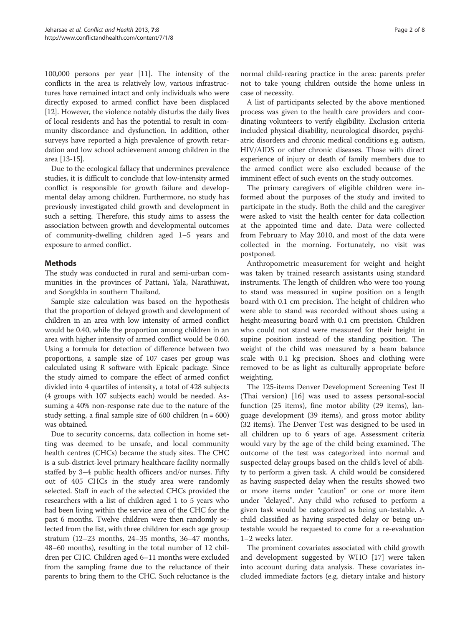100,000 persons per year [\[11](#page-7-0)]. The intensity of the conflicts in the area is relatively low, various infrastructures have remained intact and only individuals who were directly exposed to armed conflict have been displaced [[12](#page-7-0)]. However, the violence notably disturbs the daily lives of local residents and has the potential to result in community discordance and dysfunction. In addition, other surveys have reported a high prevalence of growth retardation and low school achievement among children in the area [\[13-15\]](#page-7-0).

Due to the ecological fallacy that undermines prevalence studies, it is difficult to conclude that low-intensity armed conflict is responsible for growth failure and developmental delay among children. Furthermore, no study has previously investigated child growth and development in such a setting. Therefore, this study aims to assess the association between growth and developmental outcomes of community-dwelling children aged 1–5 years and exposure to armed conflict.

# Methods

The study was conducted in rural and semi-urban communities in the provinces of Pattani, Yala, Narathiwat, and Songkhla in southern Thailand.

Sample size calculation was based on the hypothesis that the proportion of delayed growth and development of children in an area with low intensity of armed conflict would be 0.40, while the proportion among children in an area with higher intensity of armed conflict would be 0.60. Using a formula for detection of difference between two proportions, a sample size of 107 cases per group was calculated using R software with Epicalc package. Since the study aimed to compare the effect of armed confict divided into 4 quartiles of intensity, a total of 428 subjects (4 groups with 107 subjects each) would be needed. Assuming a 40% non-response rate due to the nature of the study setting, a final sample size of 600 children  $(n = 600)$ was obtained.

Due to security concerns, data collection in home setting was deemed to be unsafe, and local community health centres (CHCs) became the study sites. The CHC is a sub-district-level primary healthcare facility normally staffed by 3–4 public health officers and/or nurses. Fifty out of 405 CHCs in the study area were randomly selected. Staff in each of the selected CHCs provided the researchers with a list of children aged 1 to 5 years who had been living within the service area of the CHC for the past 6 months. Twelve children were then randomly selected from the list, with three children for each age group stratum (12–23 months, 24–35 months, 36–47 months, 48–60 months), resulting in the total number of 12 children per CHC. Children aged 6–11 months were excluded from the sampling frame due to the reluctance of their parents to bring them to the CHC. Such reluctance is the

normal child-rearing practice in the area: parents prefer not to take young children outside the home unless in case of necessity.

A list of participants selected by the above mentioned process was given to the health care providers and coordinating volunteers to verify eligibility. Exclusion criteria included physical disability, neurological disorder, psychiatric disorders and chronic medical conditions e.g. autism, HIV/AIDS or other chronic diseases. Those with direct experience of injury or death of family members due to the armed conflict were also excluded because of the imminent effect of such events on the study outcomes.

The primary caregivers of eligible children were informed about the purposes of the study and invited to participate in the study. Both the child and the caregiver were asked to visit the health center for data collection at the appointed time and date. Data were collected from February to May 2010, and most of the data were collected in the morning. Fortunately, no visit was postponed.

Anthropometric measurement for weight and height was taken by trained research assistants using standard instruments. The length of children who were too young to stand was measured in supine position on a length board with 0.1 cm precision. The height of children who were able to stand was recorded without shoes using a height-measuring board with 0.1 cm precision. Children who could not stand were measured for their height in supine position instead of the standing position. The weight of the child was measured by a beam balance scale with 0.1 kg precision. Shoes and clothing were removed to be as light as culturally appropriate before weighting.

The 125-items Denver Development Screening Test II (Thai version) [[16\]](#page-7-0) was used to assess personal-social function (25 items), fine motor ability (29 items), language development (39 items), and gross motor ability (32 items). The Denver Test was designed to be used in all children up to 6 years of age. Assessment criteria would vary by the age of the child being examined. The outcome of the test was categorized into normal and suspected delay groups based on the child's level of ability to perform a given task. A child would be considered as having suspected delay when the results showed two or more items under "caution" or one or more item under "delayed". Any child who refused to perform a given task would be categorized as being un-testable. A child classified as having suspected delay or being untestable would be requested to come for a re-evaluation 1–2 weeks later.

The prominent covariates associated with child growth and development suggested by WHO [\[17](#page-7-0)] were taken into account during data analysis. These covariates included immediate factors (e.g. dietary intake and history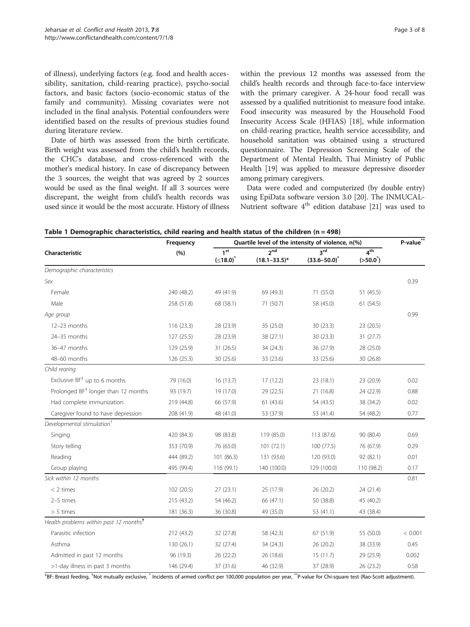<span id="page-2-0"></span>of illness), underlying factors (e.g. food and health accessibility, sanitation, child-rearing practice), psycho-social factors, and basic factors (socio-economic status of the family and community). Missing covariates were not included in the final analysis. Potential confounders were identified based on the results of previous studies found during literature review.

Date of birth was assessed from the birth certificate. Birth weight was assessed from the child's health records, the CHC's database, and cross-referenced with the mother's medical history. In case of discrepancy between the 3 sources, the weight that was agreed by 2 sources would be used as the final weight. If all 3 sources were discrepant, the weight from child's health records was used since it would be the most accurate. History of illness within the previous 12 months was assessed from the child's health records and through face-to-face interview with the primary caregiver. A 24-hour food recall was assessed by a qualified nutritionist to measure food intake. Food insecurity was measured by the Household Food Insecurity Access Scale (HFIAS) [\[18\]](#page-7-0), while information on child-rearing practice, health service accessibility, and household sanitation was obtained using a structured questionnaire. The Depression Screening Scale of the Department of Mental Health, Thai Ministry of Public Health [\[19\]](#page-7-0) was applied to measure depressive disorder among primary caregivers.

Data were coded and computerized (by double entry) using EpiData software version 3.0 [[20\]](#page-7-0). The INMUCAL-Nutrient software  $4<sup>th</sup>$  edition database [\[21\]](#page-7-0) was used to

|                                                    | Frequency  | Quartile level of the intensity of violence, n(%) | P-value**                            |                          |                                |         |
|----------------------------------------------------|------------|---------------------------------------------------|--------------------------------------|--------------------------|--------------------------------|---------|
| Characteristic                                     | (%)        | 1 <sup>st</sup><br>(≤18.0) <sup>*</sup>           | 2 <sub>nd</sub><br>$(18.1 - 33.5)^*$ | 3rd<br>$(33.6 - 50.0)^*$ | 4 <sup>th</sup><br>$(>50.0^*)$ |         |
| Demographic characteristics                        |            |                                                   |                                      |                          |                                |         |
| Sex                                                |            |                                                   |                                      |                          |                                | 0.39    |
| Female                                             | 240 (48.2) | 49 (41.9)                                         | 69 (49.3)                            | 71 (55.0)                | 51 (45.5)                      |         |
| Male                                               | 258 (51.8) | 68 (58.1)                                         | 71 (50.7)                            | 58 (45.0)                | 61(54.5)                       |         |
| Age group                                          |            |                                                   |                                      |                          |                                | 0.99    |
| 12-23 months                                       | 116(23.3)  | 28 (23.9)                                         | 35 (25.0)                            | 30(23.3)                 | 23 (20.5)                      |         |
| 24-35 months                                       | 127 (25.5) | 28 (23.9)                                         | 38 (27.1)                            | 30 (23.3)                | 31(27.7)                       |         |
| 36-47 months                                       | 129 (25.9) | 31(26.5)                                          | 34 (24.3)                            | 36 (27.9)                | 28 (25.0)                      |         |
| 48-60 months                                       | 126 (25.3) | 30 (25.6)                                         | 33 (23.6)                            | 33 (25.6)                | 30 (26.8)                      |         |
| Child rearing                                      |            |                                                   |                                      |                          |                                |         |
| Exclusive BF <sup>‡</sup> up to 6 months           | 79 (16.0)  | 16 (13.7)                                         | 17 (12.2)                            | 23 (18.1)                | 23 (20.9)                      | 0.02    |
| Prolonged BF <sup>#</sup> longer than 12 months    | 93 (19.7)  | 19 (17.0)                                         | 29 (22.5)                            | 21 (16.8)                | 24 (22.9)                      | 0.88    |
| Had complete immunization                          | 219 (44.8) | 66 (57.9)                                         | 61(43.6)                             | 54 (43.5)                | 38 (34.2)                      | 0.02    |
| Caregiver found to have depression                 | 208 (41.9) | 48 (41.0)                                         | 53 (37.9)                            | 53 (41.4)                | 54 (48.2)                      | 0.77    |
| Developmental stimulation <sup>†</sup>             |            |                                                   |                                      |                          |                                |         |
| Singing                                            | 420 (84.3) | 98 (83.8)                                         | 119 (85.0)                           | 113 (87.6)               | 90 (80.4)                      | 0.69    |
| Story telling                                      | 353 (70.9) | 76 (65.0)                                         | 101(72.1)                            | 100(77.5)                | 76 (67.9)                      | 0.29    |
| Reading                                            | 444 (89.2) | 101 (86.3)                                        | 131 (93.6)                           | 120 (93.0)               | 92 (82.1)                      | 0.01    |
| Group playing                                      | 495 (99.4) | 116 (99.1)                                        | 140 (100.0)                          | 129 (100.0)              | 110 (98.2)                     | 0.17    |
| Sick within 12 months                              |            |                                                   |                                      |                          |                                | 0.81    |
| $<$ 2 times                                        | 102 (20.5) | 27(23.1)                                          | 25 (17.9)                            | 26(20.2)                 | 24 (21.4)                      |         |
| 2-5 times                                          | 215 (43.2) | 54 (46.2)                                         | 66 (47.1)                            | 50 (38.8)                | 45 (40.2)                      |         |
| $> 5$ times                                        | 181 (36.3) | 36 (30.8)                                         | 49 (35.0)                            | 53 (41.1)                | 43 (38.4)                      |         |
| Health problems within past 12 months <sup>t</sup> |            |                                                   |                                      |                          |                                |         |
| Parasitic infection                                | 212 (43.2) | 32 (27.8)                                         | 58 (42.3)                            | 67 (51.9)                | 55 (50.0)                      | < 0.001 |
| Asthma                                             | 130 (26.1) | 32 (27.4)                                         | 34(24.3)                             | 26 (20.2)                | 38 (33.9)                      | 0.45    |
| Admitted in past 12 months                         | 96 (19.3)  | 26 (22.2)                                         | 26 (18.6)                            | 15(11.7)                 | 29 (25.9)                      | 0.002   |
| >1-day illness in past 3 months                    | 146 (29.4) | 37 (31.6)                                         | 46 (32.9)                            | 37 (28.9)                | 26 (23.2)                      | 0.58    |

Table 1 Demographic characteristics, child rearing and health status of the children (n = 498)

‡ BF: Breast feeding, † Not mutually exclusive, \* Incidents of armed conflict per 100,000 population per year, \*\*P-value for Chi-square test (Rao-Scott adjustment).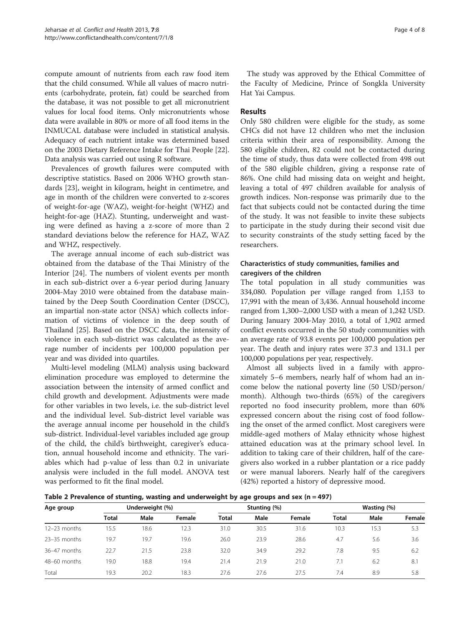<span id="page-3-0"></span>compute amount of nutrients from each raw food item that the child consumed. While all values of macro nutrients (carbohydrate, protein, fat) could be searched from the database, it was not possible to get all micronutrient values for local food items. Only micronutrients whose data were available in 80% or more of all food items in the INMUCAL database were included in statistical analysis. Adequacy of each nutrient intake was determined based on the 2003 Dietary Reference Intake for Thai People [[22](#page-7-0)]. Data analysis was carried out using R software.

Prevalences of growth failures were computed with descriptive statistics. Based on 2006 WHO growth standards [\[23](#page-7-0)], weight in kilogram, height in centimetre, and age in month of the children were converted to z-scores of weight-for-age (WAZ), weight-for-height (WHZ) and height-for-age (HAZ). Stunting, underweight and wasting were defined as having a z-score of more than 2 standard deviations below the reference for HAZ, WAZ and WHZ, respectively.

The average annual income of each sub-district was obtained from the database of the Thai Ministry of the Interior [[24\]](#page-7-0). The numbers of violent events per month in each sub-district over a 6-year period during January 2004-May 2010 were obtained from the database maintained by the Deep South Coordination Center (DSCC), an impartial non-state actor (NSA) which collects information of victims of violence in the deep south of Thailand [[25](#page-7-0)]. Based on the DSCC data, the intensity of violence in each sub-district was calculated as the average number of incidents per 100,000 population per year and was divided into quartiles.

Multi-level modeling (MLM) analysis using backward elimination procedure was employed to determine the association between the intensity of armed conflict and child growth and development. Adjustments were made for other variables in two levels, i.e. the sub-district level and the individual level. Sub-district level variable was the average annual income per household in the child's sub-district. Individual-level variables included age group of the child, the child's birthweight, caregiver's education, annual household income and ethnicity. The variables which had p-value of less than 0.2 in univariate analysis were included in the full model. ANOVA test was performed to fit the final model.

The study was approved by the Ethical Committee of the Faculty of Medicine, Prince of Songkla University Hat Yai Campus.

### Results

Only 580 children were eligible for the study, as some CHCs did not have 12 children who met the inclusion criteria within their area of responsibility. Among the 580 eligible children, 82 could not be contacted during the time of study, thus data were collected from 498 out of the 580 eligible children, giving a response rate of 86%. One child had missing data on weight and height, leaving a total of 497 children available for analysis of growth indices. Non-response was primarily due to the fact that subjects could not be contacted during the time of the study. It was not feasible to invite these subjects to participate in the study during their second visit due to security constraints of the study setting faced by the researchers.

# Characteristics of study communities, families and caregivers of the children

The total population in all study communities was 334,080. Population per village ranged from 1,153 to 17,991 with the mean of 3,436. Annual household income ranged from 1,300–2,000 USD with a mean of 1,242 USD. During January 2004-May 2010, a total of 1,902 armed conflict events occurred in the 50 study communities with an average rate of 93.8 events per 100,000 population per year. The death and injury rates were 37.3 and 131.1 per 100,000 populations per year, respectively.

Almost all subjects lived in a family with approximately 5–6 members, nearly half of whom had an income below the national poverty line (50 USD/person/ month). Although two-thirds (65%) of the caregivers reported no food insecurity problem, more than 60% expressed concern about the rising cost of food following the onset of the armed conflict. Most caregivers were middle-aged mothers of Malay ethnicity whose highest attained education was at the primary school level. In addition to taking care of their children, half of the caregivers also worked in a rubber plantation or a rice paddy or were manual laborers. Nearly half of the caregivers (42%) reported a history of depressive mood.

Table 2 Prevalence of stunting, wasting and underweight by age groups and sex ( $n = 497$ )

| Age group      | Underweight (%) |      |        |       | Stunting (%) |        | Wasting (%)  |      |        |
|----------------|-----------------|------|--------|-------|--------------|--------|--------------|------|--------|
|                | <b>Total</b>    | Male | Female | Total | Male         | Female | <b>Total</b> | Male | Female |
| 12-23 months   | 15.5            | 18.6 | 12.3   | 31.0  | 30.5         | 31.6   | 10.3         | 15.3 | 5.3    |
| $23-35$ months | 19.7            | 19.7 | 19.6   | 26.0  | 23.9         | 28.6   | 4.7          | 5.6  | 3.6    |
| $36-47$ months | 22.7            | 21.5 | 23.8   | 32.0  | 34.9         | 29.2   | 7.8          | 9.5  | 6.2    |
| $48-60$ months | 19.0            | 18.8 | 19.4   | 21.4  | 21.9         | 21.0   | 7.1          | 6.2  | 8.1    |
| Total          | 19.3            | 20.2 | 18.3   | 27.6  | 27.6         | 27.5   | 7.4          | 8.9  | 5.8    |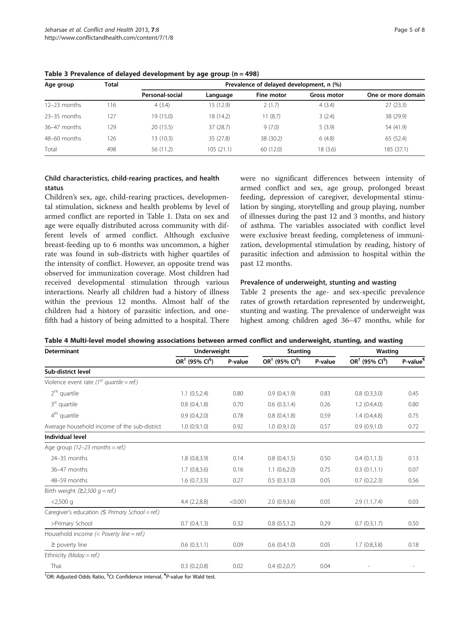| Age group      | <b>Total</b> | Prevalence of delayed development, n (%) |           |            |             |                    |  |  |
|----------------|--------------|------------------------------------------|-----------|------------|-------------|--------------------|--|--|
|                |              | Personal-social                          | Language  | Fine motor | Gross motor | One or more domain |  |  |
| 12–23 months   | ' 16         | 4(3.4)                                   | 15 (12.9) | 2(1.7)     | 4(3.4)      | 27(23.3)           |  |  |
| $23-35$ months | 127          | 19 (15.0)                                | 18 (14.2) | 11(8.7)    | 3(2.4)      | 38 (29.9)          |  |  |
| $36-47$ months | 129          | 20(15.5)                                 | 37 (28.7) | 9(7.0)     | 5(3.9)      | 54 (41.9)          |  |  |
| $48-60$ months | 126          | 13(10.3)                                 | 35 (27.8) | 38 (30.2)  | 6(4.8)      | 65 (52.4)          |  |  |
| Total          | 498          | 56 (11.2)                                | 105(21.1) | 60(12.0)   | 18 (3.6)    | 185 (37.1)         |  |  |

<span id="page-4-0"></span>Table 3 Prevalence of delayed development by age group (n = 498)

# Child characteristics, child-rearing practices, and health status

Children's sex, age, child-rearing practices, developmental stimulation, sickness and health problems by level of armed conflict are reported in Table [1.](#page-2-0) Data on sex and age were equally distributed across community with different levels of armed conflict. Although exclusive breast-feeding up to 6 months was uncommon, a higher rate was found in sub-districts with higher quartiles of the intensity of conflict. However, an opposite trend was observed for immunization coverage. Most children had received developmental stimulation through various interactions. Nearly all children had a history of illness within the previous 12 months. Almost half of the children had a history of parasitic infection, and onefifth had a history of being admitted to a hospital. There

were no significant differences between intensity of armed conflict and sex, age group, prolonged breast feeding, depression of caregiver, developmental stimulation by singing, storytelling and group playing, number of illnesses during the past 12 and 3 months, and history of asthma. The variables associated with conflict level were exclusive breast feeding, completeness of immunization, developmental stimulation by reading, history of parasitic infection and admission to hospital within the past 12 months.

#### Prevalence of underweight, stunting and wasting

Table [2](#page-3-0) presents the age- and sex-specific prevalence rates of growth retardation represented by underweight, stunting and wasting. The prevalence of underweight was highest among children aged 36–47 months, while for

| Table 4 Multi-level model showing associations between armed conflict and underweight, stunting, and wasting |  |  |  |  |
|--------------------------------------------------------------------------------------------------------------|--|--|--|--|
|--------------------------------------------------------------------------------------------------------------|--|--|--|--|

| <b>Determinant</b>                                                                                                                                                                                                               | <b>Underweight</b> |         | <b>Stunting</b>    |         | Wasting                      |                      |
|----------------------------------------------------------------------------------------------------------------------------------------------------------------------------------------------------------------------------------|--------------------|---------|--------------------|---------|------------------------------|----------------------|
|                                                                                                                                                                                                                                  | $OR†$ (95% $Cl§$ ) | P-value | $OR†$ (95% $Cl§$ ) | P-value | $OR†$ (95% CI <sup>§</sup> ) | P-value <sup>¶</sup> |
| Sub-district level<br>1.1(0.5, 2.4)<br>0.80<br>0.9(0.4,1.9)<br>0.8(0.4, 1.8)<br>0.70<br>0.6(0.3, 1.4)<br>0.8(0.4, 1.8)<br>0.9(0.4,2.0)<br>0.78<br>1.0(0.9,1.0)<br>0.92<br>1.0(0.9,1.0)<br>1.8(0.8, 3.9)<br>0.14<br>0.8(0.4, 1.5) |                    |         |                    |         |                              |                      |
| Violence event rate (1 <sup>st</sup> quartile = ref.)                                                                                                                                                                            |                    |         |                    |         |                              |                      |
| $2nt$ quartile                                                                                                                                                                                                                   |                    |         |                    | 0.83    | 0.8(0.3,3.0)                 | 0.45                 |
| $3rt$ quartile                                                                                                                                                                                                                   |                    |         |                    | 0.26    | 1.2(0.4,4.0)                 | 0.80                 |
| $4th$ quartile                                                                                                                                                                                                                   |                    |         |                    | 0.59    | 1.4(0.4,4.8)                 | 0.75                 |
| Average household income of the sub-district                                                                                                                                                                                     |                    |         |                    | 0.57    | 0.9(0.9,1.0)                 | 0.72                 |
| <b>Individual level</b>                                                                                                                                                                                                          |                    |         |                    |         |                              |                      |
| Age group $(12-23$ months = ref.)                                                                                                                                                                                                |                    |         |                    |         |                              |                      |
| 24-35 months                                                                                                                                                                                                                     |                    |         |                    | 0.50    | 0.4(0.1,1.3)                 | 0.13                 |
| 36-47 months                                                                                                                                                                                                                     | 1.7(0.8, 3.6)      | 0.16    | 1.1(0.6, 2.0)      | 0.75    | 0.3(0.1,1.1)                 | 0.07                 |
| 48-59 months                                                                                                                                                                                                                     | 1.6(0.7,3.5)       | 0.27    | 0.5(0.3,1.0)       | 0.05    | 0.7(0.2, 2.3)                | 0.56                 |
| Birth weight $(22,500 g = ref.)$                                                                                                                                                                                                 |                    |         |                    |         |                              |                      |
| $<$ 2,500 q                                                                                                                                                                                                                      | 4.4(2.2,8.8)       | < 0.001 | 2.0(0.9, 3.6)      | 0.05    | 2.9(1.1,7.4)                 | 0.03                 |
| Caregiver's education ( $\leq$ Primary School = ref.)                                                                                                                                                                            |                    |         |                    |         |                              |                      |
| >Primary School                                                                                                                                                                                                                  | 0.7(0.4, 1.3)      | 0.32    | 0.8(0.5,1.2)       | 0.29    | 0.7(0.3,1.7)                 | 0.50                 |
| Household income $(<$ Poverty line = ref.)                                                                                                                                                                                       |                    |         |                    |         |                              |                      |
| $\geq$ poverty line                                                                                                                                                                                                              | 0.6(0.3,1.1)       | 0.09    | 0.6(0.4,1.0)       | 0.05    | 1.7(0.8, 3.8)                | 0.18                 |
| Ethnicity (Malay = ref.)                                                                                                                                                                                                         |                    |         |                    |         |                              |                      |
| Thai                                                                                                                                                                                                                             | 0.3(0.2,0.8)       | 0.02    | 0.4(0.2,0.7)       | 0.04    |                              |                      |
| <sup>†</sup> OB: Adjusted Odds Batio <sup>§</sup> Cl: Confidence interval <sup>1</sup> P-value for Wald test                                                                                                                     |                    |         |                    |         |                              |                      |

OR: Adjusted Odds Ratio, <sup>§</sup>CI: Confidence interval, <sup>¶</sup>P-value for Wald test.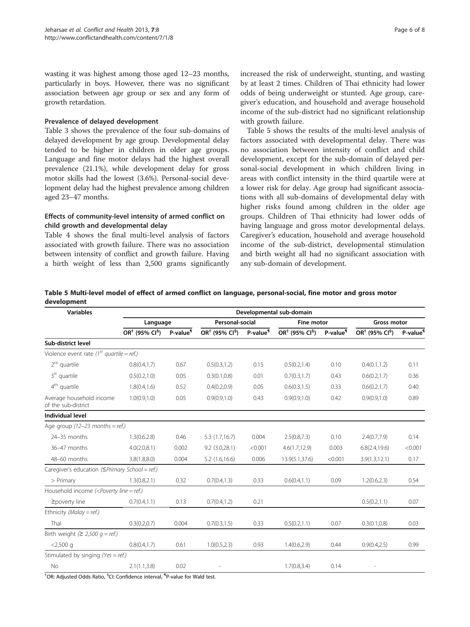wasting it was highest among those aged 12–23 months, particularly in boys. However, there was no significant association between age group or sex and any form of growth retardation.

#### Prevalence of delayed development

Table [3](#page-4-0) shows the prevalence of the four sub-domains of delayed development by age group. Developmental delay tended to be higher in children in older age groups. Language and fine motor delays had the highest overall prevalence (21.1%), while development delay for gross motor skills had the lowest (3.6%). Personal-social development delay had the highest prevalence among children aged 23–47 months.

#### Effects of community-level intensity of armed conflict on child growth and developmental delay

Table [4](#page-4-0) shows the final multi-level analysis of factors associated with growth failure. There was no association between intensity of conflict and growth failure. Having a birth weight of less than 2,500 grams significantly

increased the risk of underweight, stunting, and wasting by at least 2 times. Children of Thai ethnicity had lower odds of being underweight or stunted. Age group, caregiver's education, and household and average household income of the sub-district had no significant relationship with growth failure.

Table 5 shows the results of the multi-level analysis of factors associated with developmental delay. There was no association between intensity of conflict and child development, except for the sub-domain of delayed personal-social development in which children living in areas with conflict intensity in the third quartile were at a lower risk for delay. Age group had significant associations with all sub-domains of developmental delay with higher risks found among children in the older age groups. Children of Thai ethnicity had lower odds of having language and gross motor developmental delays. Caregiver's education, household and average household income of the sub-district, developmental stimulation and birth weight all had no significant association with any sub-domain of development.

Table 5 Multi-level model of effect of armed conflict on language, personal-social, fine motor and gross motor development

| <b>Variables</b>                                                                                                                   | Developmental sub-domain               |                      |                              |                      |                                        |                      |                              |                      |  |
|------------------------------------------------------------------------------------------------------------------------------------|----------------------------------------|----------------------|------------------------------|----------------------|----------------------------------------|----------------------|------------------------------|----------------------|--|
|                                                                                                                                    | Language                               |                      |                              | Personal-social      |                                        | <b>Fine motor</b>    |                              | <b>Gross motor</b>   |  |
|                                                                                                                                    | OR <sup>+</sup> (95% CI <sup>§</sup> ) | P-value <sup>1</sup> | $OR†$ (95% CI <sup>§</sup> ) | P-value <sup>¶</sup> | OR <sup>+</sup> (95% CI <sup>§</sup> ) | P-value <sup>1</sup> | $OR†$ (95% CI <sup>§</sup> ) | P-value <sup>1</sup> |  |
| Sub-district level                                                                                                                 |                                        |                      |                              |                      |                                        |                      |                              |                      |  |
| Violence event rate ( $1^{st}$ quartile = ref.)                                                                                    |                                        |                      |                              |                      |                                        |                      |                              |                      |  |
| $2nt$ quartile                                                                                                                     | 0.8(0.4, 1.7)                          | 0.67                 | 0.5(0.3, 1.2)                | 0.15                 | 0.5(0.2, 1.4)                          | 0.10                 | 0.4(0.1, 1.2)                | 0.11                 |  |
| $3rt$ quartile                                                                                                                     | 0.5(0.2,1.0)                           | 0.05                 | 0.3(0.1, 0.8)                | 0.01                 | 0.7(0.3, 1.7)                          | 0.43                 | 0.6(0.2, 1.7)                | 0.36                 |  |
| $4th$ quartile                                                                                                                     | 1.8(0.4, 1.6)                          | 0.52                 | 0.4(0.2,0.9)                 | 0.05                 | 0.6(0.3, 1.5)                          | 0.33                 | 0.6(0.2, 1.7)                | 0.40                 |  |
| Average household income<br>of the sub-district                                                                                    | 1.0(0.9, 1.0)                          | 0.05                 | 0.9(0.9, 1.0)                | 0.43                 | 0.9(0.9, 1.0)                          | 0.42                 | 0.9(0.9, 1.0)                | 0.89                 |  |
| <b>Individual level</b>                                                                                                            |                                        |                      |                              |                      |                                        |                      |                              |                      |  |
| Age group $(12-23$ months = ref.)                                                                                                  |                                        |                      |                              |                      |                                        |                      |                              |                      |  |
| 24-35 months                                                                                                                       | 1.3(0.6.2.8)                           | 0.46                 | 5.3(1.7,16.7)                | 0.004                | 2.5(0.8, 7.3)                          | 0.10                 | 2.4(0.7, 7.9)                | 0.14                 |  |
| 36-47 months                                                                                                                       | 4.0(2.0, 8.1)                          | 0.002                | 9.2(3.0, 28.1)               | < 0.001              | 4.6(1.7, 12.9)                         | 0.003                | 6.8(2.4, 19.6)               | < 0.001              |  |
| 48-60 months                                                                                                                       | 3.8(1.8, 8.0)                          | 0.004                | 5.2(1.6, 16.6)               | 0.006                | 13.9(5.1,37.6)                         | < 0.001              | 3.9(1.3, 12.1)               | 0.17                 |  |
| Caregiver's education (SPrimary School = ref.)                                                                                     |                                        |                      |                              |                      |                                        |                      |                              |                      |  |
| > Primary                                                                                                                          | 1.3(0.8, 2.1)                          | 0.32                 | 0.7(0.4, 1.3)                | 0.33                 | 0.6(0.4, 1.1)                          | 0.09                 | 1.2(0.6, 2.3)                | 0.54                 |  |
| Household income ( <poverty line="ref.)&lt;/td"><td></td><td></td><td></td><td></td><td></td><td></td><td></td><td></td></poverty> |                                        |                      |                              |                      |                                        |                      |                              |                      |  |
| ≥poverty line                                                                                                                      | 0.7(0.4,1.1)                           | 0.13                 | 0.7(0.4, 1.2)                | 0.21                 |                                        |                      | 0.5(0.2, 1.1)                | 0.07                 |  |
| Ethnicity (Malay = ref.)                                                                                                           |                                        |                      |                              |                      |                                        |                      |                              |                      |  |
| Thai                                                                                                                               | 0.3(0.2, 0.7)                          | 0.004                | 0.7(0.3, 1.5)                | 0.33                 | 0.5(0.2, 1.1)                          | 0.07                 | 0.3(0.1, 0.8)                | 0.03                 |  |
| Birth weight ( $\geq$ 2,500 g = ref.)                                                                                              |                                        |                      |                              |                      |                                        |                      |                              |                      |  |
| $<$ 2,500 q                                                                                                                        | 0.8(0.4, 1.7)                          | 0.61                 | 1.0(0.5, 2.3)                | 0.93                 | 1.4(0.6, 2.9)                          | 0.44                 | 0.9(0.4, 2.5)                | 0.99                 |  |
| Stimulated by singing (Yes = ref.)                                                                                                 |                                        |                      |                              |                      |                                        |                      |                              |                      |  |
| <b>No</b>                                                                                                                          | 2.1(1.1, 3.8)                          | 0.02                 |                              |                      | 1.7(0.8, 3.4)                          | 0.14                 |                              |                      |  |

<sup>†</sup>OR: Adjusted Odds Ratio, <sup>§</sup>CI: Confidence interval, <sup>¶</sup>P-value for Wald test.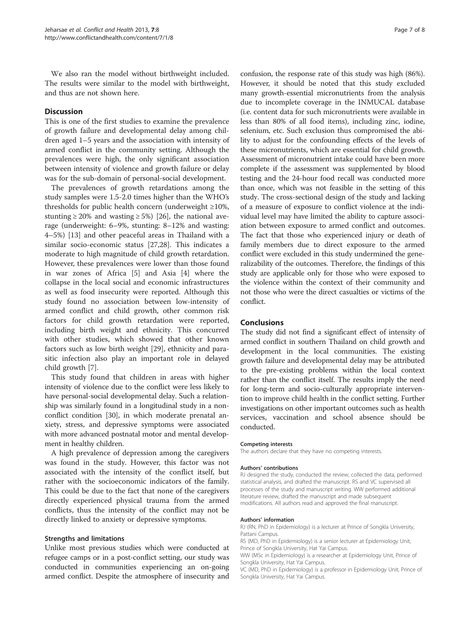We also ran the model without birthweight included. The results were similar to the model with birthweight, and thus are not shown here.

# Discussion

This is one of the first studies to examine the prevalence of growth failure and developmental delay among children aged 1–5 years and the association with intensity of armed conflict in the community setting. Although the prevalences were high, the only significant association between intensity of violence and growth failure or delay was for the sub-domain of personal-social development.

The prevalences of growth retardations among the study samples were 1.5-2.0 times higher than the WHO's thresholds for public health concern (underweight ≥10%, stunting  $\geq 20\%$  and wasting  $\geq 5\%$  [\[26\]](#page-7-0), the national average (underweight: 6–9%, stunting: 8–12% and wasting: 4–5%) [\[13](#page-7-0)] and other peaceful areas in Thailand with a similar socio-economic status [\[27,28](#page-7-0)]. This indicates a moderate to high magnitude of child growth retardation. However, these prevalences were lower than those found in war zones of Africa [[5\]](#page-7-0) and Asia [\[4](#page-7-0)] where the collapse in the local social and economic infrastructures as well as food insecurity were reported. Although this study found no association between low-intensity of armed conflict and child growth, other common risk factors for child growth retardation were reported, including birth weight and ethnicity. This concurred with other studies, which showed that other known factors such as low birth weight [\[29](#page-7-0)], ethnicity and parasitic infection also play an important role in delayed child growth [[7\]](#page-7-0).

This study found that children in areas with higher intensity of violence due to the conflict were less likely to have personal-social developmental delay. Such a relationship was similarly found in a longitudinal study in a nonconflict condition [\[30\]](#page-7-0), in which moderate prenatal anxiety, stress, and depressive symptoms were associated with more advanced postnatal motor and mental development in healthy children.

A high prevalence of depression among the caregivers was found in the study. However, this factor was not associated with the intensity of the conflict itself, but rather with the socioeconomic indicators of the family. This could be due to the fact that none of the caregivers directly experienced physical trauma from the armed conflicts, thus the intensity of the conflict may not be directly linked to anxiety or depressive symptoms.

#### Strengths and limitations

Unlike most previous studies which were conducted at refugee camps or in a post-conflict setting, our study was conducted in communities experiencing an on-going armed conflict. Despite the atmosphere of insecurity and

confusion, the response rate of this study was high (86%). However, it should be noted that this study excluded many growth-essential micronutrients from the analysis due to incomplete coverage in the INMUCAL database (i.e. content data for such micronutrients were available in less than 80% of all food items), including zinc, iodine, selenium, etc. Such exclusion thus compromised the ability to adjust for the confounding effects of the levels of these micronutrients, which are essential for child growth. Assessment of micronutrient intake could have been more complete if the assessment was supplemented by blood testing and the 24-hour food recall was conducted more than once, which was not feasible in the setting of this study. The cross-sectional design of the study and lacking of a measure of exposure to conflict violence at the individual level may have limited the ability to capture association between exposure to armed conflict and outcomes. The fact that those who experienced injury or death of family members due to direct exposure to the armed conflict were excluded in this study undermined the generalizability of the outcomes. Therefore, the findings of this study are applicable only for those who were exposed to the violence within the context of their community and not those who were the direct casualties or victims of the conflict.

### Conclusions

The study did not find a significant effect of intensity of armed conflict in southern Thailand on child growth and development in the local communities. The existing growth failure and developmental delay may be attributed to the pre-existing problems within the local context rather than the conflict itself. The results imply the need for long-term and socio-culturally appropriate intervention to improve child health in the conflict setting. Further investigations on other important outcomes such as health services, vaccination and school absence should be conducted.

#### Competing interests

The authors declare that they have no competing interests.

#### Authors' contributions

RJ designed the study, conducted the review, collected the data, performed statistical analysis, and drafted the manuscript. RS and VC supervised all processes of the study and manuscript writing. WW performed additional literature review, drafted the manuscript and made subsequent modifications. All authors read and approved the final manuscript.

#### Authors' information

RJ (RN, PhD in Epidemiology) is a lecturer at Prince of Songkla University, Pattani Campus.

RS (MD, PhD in Epidemiology) is a senior lecturer at Epidemiology Unit, Prince of Songkla University, Hat Yai Campus.

WW (MSc in Epidemiology) is a researcher at Epidemiology Unit, Prince of Songkla University, Hat Yai Campus.

VC (MD, PhD in Epidemiology) is a professor in Epidemiology Unit, Prince of Songkla University, Hat Yai Campus.